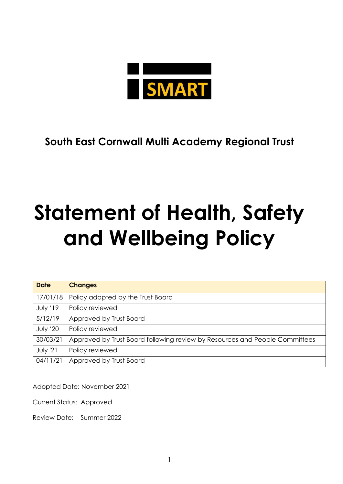

**South East Cornwall Multi Academy Regional Trust**

# **Statement of Health, Safety and Wellbeing Policy**

| <b>Date</b> | <b>Changes</b>                                                              |
|-------------|-----------------------------------------------------------------------------|
| 17/01/18    | Policy adopted by the Trust Board                                           |
| July '19    | Policy reviewed                                                             |
| 5/12/19     | Approved by Trust Board                                                     |
| July '20    | Policy reviewed                                                             |
| 30/03/21    | Approved by Trust Board following review by Resources and People Committees |
| July '21    | Policy reviewed                                                             |
| 04/11/21    | Approved by Trust Board                                                     |

Adopted Date: November 2021

Current Status: Approved

Review Date: Summer 2022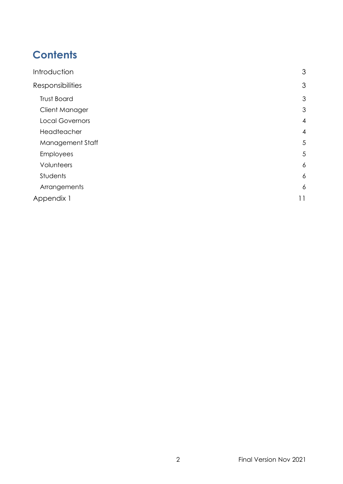# **Contents**

| 3              |
|----------------|
| 3              |
| 3              |
| 3              |
| $\overline{4}$ |
| $\overline{4}$ |
| 5              |
| 5              |
| 6              |
| 6              |
| 6              |
| 11             |
|                |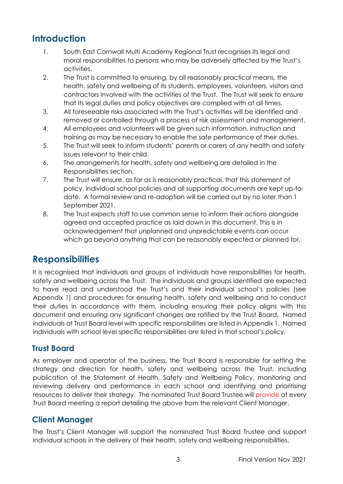# <span id="page-2-0"></span>**Introduction**

- 1. South East Cornwall Multi Academy Regional Trust recognises its legal and moral responsibilities to persons who may be adversely affected by the Trust's activities.
- 2. The Trust is committed to ensuring, by all reasonably practical means, the health, safety and wellbeing of its students, employees, volunteers, visitors and contractors involved with the activities of the Trust. The Trust will seek to ensure that its legal duties and policy objectives are complied with at all times.
- 3. All foreseeable risks associated with the Trust's activities will be identified and removed or controlled through a process of risk assessment and management.
- 4. All employees and volunteers will be given such information, instruction and training as may be necessary to enable the safe performance of their duties.
- 5. The Trust will seek to inform students' parents or carers of any health and safety issues relevant to their child.
- 6. The arrangements for health, safety and wellbeing are detailed in the Responsibilities section.
- 7. The Trust will ensure, as far as is reasonably practical, that this statement of policy, individual school policies and all supporting documents are kept up-todate. A formal review and re-adoption will be carried out by no later than 1 September 2021.
- 8. The Trust expects staff to use common sense to inform their actions alongside agreed and accepted practice as laid down in this document. This is in acknowledgement that unplanned and unpredictable events can occur which go beyond anything that can be reasonably expected or planned for.

# <span id="page-2-1"></span>**Responsibilities**

It is recognised that individuals and groups of individuals have responsibilities for health, safety and wellbeing across the Trust. The individuals and groups identified are expected to have read and understood the Trust's and their individual school's policies (see Appendix 1) and procedures for ensuring health, safety and wellbeing and to conduct their duties in accordance with them, including ensuring their policy aligns with this document and ensuring any significant changes are ratified by the Trust Board. Named individuals at Trust Board level with specific responsibilities are listed in Appendix 1. Named individuals with school level specific responsibilities are listed in that school's policy.

# <span id="page-2-2"></span>**Trust Board**

As employer and operator of the business, the Trust Board is responsible for setting the strategy and direction for health, safety and wellbeing across the Trust, including publication of the Statement of Health, Safety and Wellbeing Policy, monitoring and reviewing delivery and performance in each school and identifying and prioritising resources to deliver their strategy. The nominated Trust Board Trustee will provide at every Trust Board meeting a report detailing the above from the relevant Client Manager.

# <span id="page-2-3"></span>**Client Manager**

The Trust's Client Manager will support the nominated Trust Board Trustee and support individual schools in the delivery of their health, safety and wellbeing responsibilities.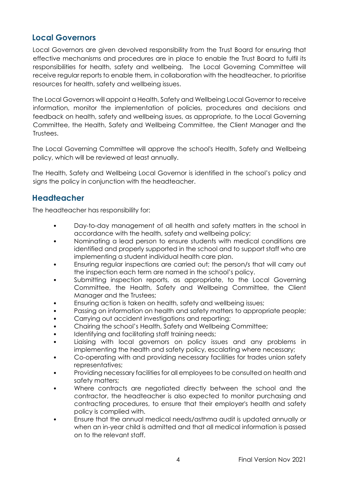## <span id="page-3-0"></span>**Local Governors**

Local Governors are given devolved responsibility from the Trust Board for ensuring that effective mechanisms and procedures are in place to enable the Trust Board to fulfil its responsibilities for health, safety and wellbeing. The Local Governing Committee will receive regular reports to enable them, in collaboration with the headteacher, to prioritise resources for health, safety and wellbeing issues.

The Local Governors will appoint a Health, Safety and Wellbeing Local Governor to receive information, monitor the implementation of policies, procedures and decisions and feedback on health, safety and wellbeing issues, as appropriate, to the Local Governing Committee, the Health, Safety and Wellbeing Committee, the Client Manager and the Trustees.

The Local Governing Committee will approve the school's Health, Safety and Wellbeing policy, which will be reviewed at least annually.

The Health, Safety and Wellbeing Local Governor is identified in the school's policy and signs the policy in conjunction with the headteacher.

### <span id="page-3-1"></span>**Headteacher**

The headteacher has responsibility for:

- Day-to-day management of all health and safety matters in the school in accordance with the health, safety and wellbeing policy;
- Nominating a lead person to ensure students with medical conditions are identified and properly supported in the school and to support staff who are implementing a student individual health care plan.
- Ensuring regular inspections are carried out; the person/s that will carry out the inspection each term are named in the school's policy.
- Submitting inspection reports, as appropriate, to the Local Governing Committee, the Health, Safety and Wellbeing Committee, the Client Manager and the Trustees;
- Ensuring action is taken on health, safety and wellbeing issues;
- Passing on information on health and safety matters to appropriate people;
- Carrying out accident investigations and reporting;
- Chairing the school's Health, Safety and Wellbeing Committee;
- Identifying and facilitating staff training needs;
- Liaising with local governors on policy issues and any problems in implementing the health and safety policy, escalating where necessary;
- Co-operating with and providing necessary facilities for trades union safety representatives;
- Providing necessary facilities for all employees to be consulted on health and safety matters;
- Where contracts are negotiated directly between the school and the contractor, the headteacher is also expected to monitor purchasing and contracting procedures, to ensure that their employer's health and safety policy is complied with.
- Ensure that the annual medical needs/asthma audit is updated annually or when an in-year child is admitted and that all medical information is passed on to the relevant staff.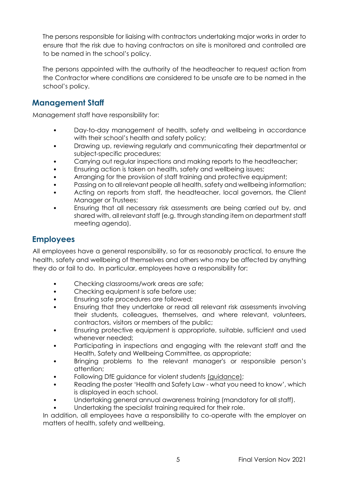The persons responsible for liaising with contractors undertaking major works in order to ensure that the risk due to having contractors on site is monitored and controlled are to be named in the school's policy.

The persons appointed with the authority of the headteacher to request action from the Contractor where conditions are considered to be unsafe are to be named in the school's policy.

# <span id="page-4-0"></span>**Management Staff**

Management staff have responsibility for:

- Day-to-day management of health, safety and wellbeing in accordance with their school's health and safety policy;
- Drawing up, reviewing regularly and communicating their departmental or subject-specific procedures;
- Carrying out regular inspections and making reports to the headteacher;
- Ensuring action is taken on health, safety and wellbeing issues;
- Arranging for the provision of staff training and protective equipment;
- Passing on to all relevant people all health, safety and wellbeing information;
- Acting on reports from staff, the headteacher, local governors, the Client Manager or Trustees;
- Ensuring that all necessary risk assessments are being carried out by, and shared with, all relevant staff (e.g. through standing item on department staff meeting agenda).

# <span id="page-4-1"></span>**Employees**

All employees have a general responsibility, so far as reasonably practical, to ensure the health, safety and wellbeing of themselves and others who may be affected by anything they do or fail to do. In particular, employees have a responsibility for:

- Checking classrooms/work areas are safe;
- Checking equipment is safe before use;
- Ensuring safe procedures are followed;
- Ensuring that they undertake or read all relevant risk assessments involving their students, colleagues, themselves, and where relevant, volunteers, contractors, visitors or members of the public;
- Ensuring protective equipment is appropriate, suitable, sufficient and used whenever needed;
- Participating in inspections and engaging with the relevant staff and the Health, Safety and Wellbeing Committee, as appropriate;
- Bringing problems to the relevant manager's or responsible person's attention;
- Following DfE guidance for violent students [\(guidance\);](https://assets.publishing.service.gov.uk/government/uploads/system/uploads/attachment_data/file/444051/Use_of_reasonable_force_advice_Reviewed_July_2015.pdf)
- Reading the poster 'Health and Safety Law what you need to know', which is displayed in each school.
- Undertaking general annual awareness training (mandatory for all staff).
- Undertaking the specialist training required for their role.

In addition, all employees have a responsibility to co-operate with the employer on matters of health, safety and wellbeing.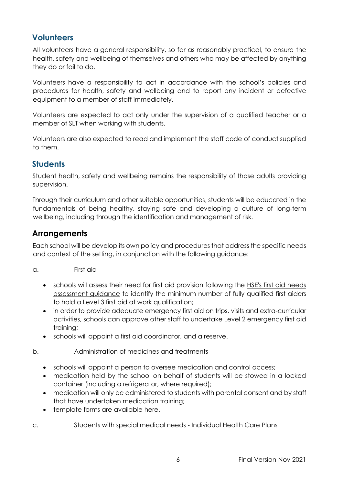# <span id="page-5-0"></span>**Volunteers**

All volunteers have a general responsibility, so far as reasonably practical, to ensure the health, safety and wellbeing of themselves and others who may be affected by anything they do or fail to do.

Volunteers have a responsibility to act in accordance with the school's policies and procedures for health, safety and wellbeing and to report any incident or defective equipment to a member of staff immediately.

Volunteers are expected to act only under the supervision of a qualified teacher or a member of SLT when working with students.

Volunteers are also expected to read and implement the staff code of conduct supplied to them.

# <span id="page-5-1"></span>**Students**

Student health, safety and wellbeing remains the responsibility of those adults providing supervision.

Through their curriculum and other suitable opportunities, students will be educated in the fundamentals of being healthy, staying safe and developing a culture of long-term wellbeing, including through the identification and management of risk.

## <span id="page-5-2"></span>**Arrangements**

Each school will be develop its own policy and procedures that address the specific needs and context of the setting, in conjunction with the following guidance:

- a. First aid
	- schools will assess their need for first aid provision following the [HSE's first aid needs](https://www.hse.gov.uk/firstaid/needs-assessment.htm)  [assessment guidance](https://www.hse.gov.uk/firstaid/needs-assessment.htm) to identify the minimum number of fully qualified first aiders to hold a Level 3 first aid at work qualification;
	- in order to provide adequate emergency first aid on trips, visits and extra-curricular activities, schools can approve other staff to undertake Level 2 emergency first aid training;
	- schools will appoint a first aid coordinator, and a reserve.
- b. Administration of medicines and treatments
	- schools will appoint a person to oversee medication and control access;
	- medication held by the school on behalf of students will be stowed in a locked container (including a refrigerator, where required);
	- medication will only be administered to students with parental consent and by staff that have undertaken medication training;
	- template forms are available [here.](https://assets.publishing.service.gov.uk/government/uploads/system/uploads/attachment_data/file/349437/Supporting_pupils_with_medical_conditions_-_templates.docx)
- c. Students with special medical needs Individual Health Care Plans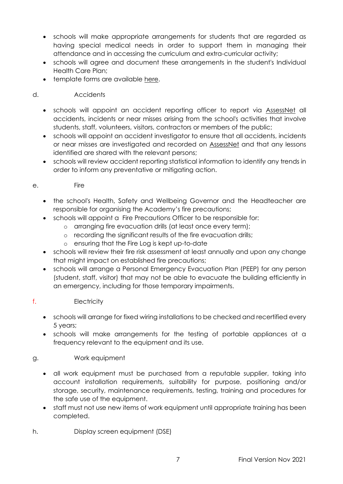- schools will make appropriate arrangements for students that are regarded as having special medical needs in order to support them in managing their attendance and in accessing the curriculum and extra-curricular activity;
- schools will agree and document these arrangements in the student's Individual Health Care Plan;
- template forms are available [here.](https://assets.publishing.service.gov.uk/government/uploads/system/uploads/attachment_data/file/349437/Supporting_pupils_with_medical_conditions_-_templates.docx)

#### d. Accidents

- schools will appoint an accident reporting officer to report via [AssessNet](https://www.assessweb.co.uk/version3.2/security/login/frm_lg_entry.aspx) all accidents, incidents or near misses arising from the school's activities that involve students, staff, volunteers, visitors, contractors or members of the public;
- schools will appoint an accident investigator to ensure that all accidents, incidents or near misses are investigated and recorded on [AssessNet](https://www.assessweb.co.uk/version3.2/security/login/frm_lg_entry.aspx) and that any lessons identified are shared with the relevant persons;
- schools will review accident reporting statistical information to identify any trends in order to inform any preventative or mitigating action.

#### e. Fire

- the school's Health, Safety and Wellbeing Governor and the Headteacher are responsible for organising the Academy's fire precautions;
- schools will appoint a Fire Precautions Officer to be responsible for:
	- o arranging fire evacuation drills (at least once every term);
	- o recording the significant results of the fire evacuation drills;
	- o ensuring that the Fire Log is kept up-to-date
- schools will review their fire risk assessment at least annually and upon any change that might impact on established fire precautions;
- schools will arrange a Personal Emergency Evacuation Plan (PEEP) for any person (student, staff, visitor) that may not be able to evacuate the building efficiently in an emergency, including for those temporary impairments.

#### f. Electricity

- schools will arrange for fixed wiring installations to be checked and recertified every 5 years;
- schools will make arrangements for the testing of portable appliances at a frequency relevant to the equipment and its use.

#### g. Work equipment

- all work equipment must be purchased from a reputable supplier, taking into account installation requirements, suitability for purpose, positioning and/or storage, security, maintenance requirements, testing, training and procedures for the safe use of the equipment.
- staff must not use new items of work equipment until appropriate training has been completed.

h. Display screen equipment (DSE)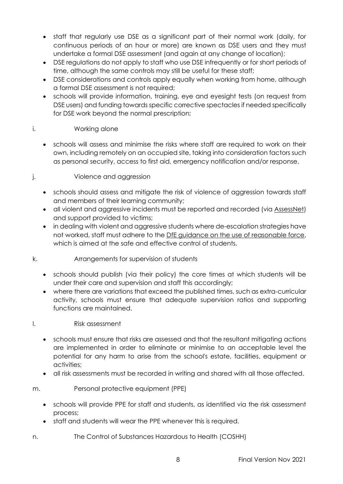- staff that regularly use DSE as a significant part of their normal work (daily, for continuous periods of an hour or more) are known as DSE users and they must undertake a formal DSE assessment (and again at any change of location);
- DSE regulations do not apply to staff who use DSE infrequently or for short periods of time, although the same controls may still be useful for these staff;
- DSE considerations and controls apply equally when working from home, although a formal DSE assessment is not required;
- schools will provide information, training, eye and eyesight tests (on request from DSE users) and funding towards specific corrective spectacles if needed specifically for DSE work beyond the normal prescription;

#### i. Working alone

- schools will assess and minimise the risks where staff are required to work on their own, including remotely on an occupied site, taking into consideration factors such as personal security, access to first aid, emergency notification and/or response,
- j. Violence and aggression
	- schools should assess and mitigate the risk of violence of aggression towards staff and members of their learning community;
	- all violent and aggressive incidents must be reported and recorded (via [AssessNet\)](https://www.assessweb.co.uk/version3.2/security/login/frm_lg_entry.aspx) and support provided to victims;
	- in dealing with violent and aggressive students where de-escalation strategies have not worked, staff must adhere to the [DfE guidance on the use of reasonable force,](https://assets.publishing.service.gov.uk/government/uploads/system/uploads/attachment_data/file/444051/Use_of_reasonable_force_advice_Reviewed_July_2015.pdf) which is aimed at the safe and effective control of students.
- k. Arrangements for supervision of students
	- schools should publish (via their policy) the core times at which students will be under their care and supervision and staff this accordingly;
	- where there are variations that exceed the published times, such as extra-curricular activity, schools must ensure that adequate supervision ratios and supporting functions are maintained.
- l. Risk assessment
	- schools must ensure that risks are assessed and that the resultant mitigating actions are implemented in order to eliminate or minimise to an acceptable level the potential for any harm to arise from the school's estate, facilities, equipment or activities;
	- all risk assessments must be recorded in writing and shared with all those affected.
- m. Personal protective equipment (PPE)
	- schools will provide PPE for staff and students, as identified via the risk assessment process;
	- staff and students will wear the PPE whenever this is required.
- n. The Control of Substances Hazardous to Health (COSHH)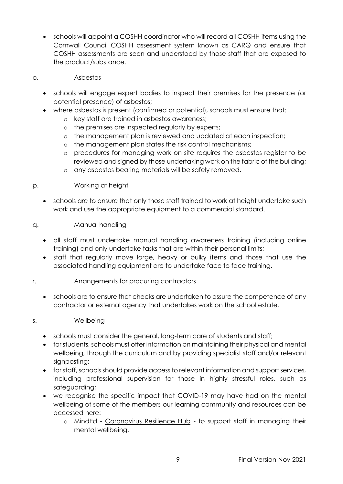• schools will appoint a COSHH coordinator who will record all COSHH items using the Cornwall Council COSHH assessment system known as CARQ and ensure that COSHH assessments are seen and understood by those staff that are exposed to the product/substance.

#### o. Asbestos

- schools will engage expert bodies to inspect their premises for the presence (or potential presence) of asbestos;
- where asbestos is present (confirmed or potential), schools must ensure that:
	- o key staff are trained in asbestos awareness;
	- o the premises are inspected regularly by experts;
	- o the management plan is reviewed and updated at each inspection;
	- o the management plan states the risk control mechanisms;
	- o procedures for managing work on site requires the asbestos register to be reviewed and signed by those undertaking work on the fabric of the building;
	- o any asbestos bearing materials will be safely removed.

#### p. Working at height

• schools are to ensure that only those staff trained to work at height undertake such work and use the appropriate equipment to a commercial standard.

#### q. Manual handling

- all staff must undertake manual handling awareness training (including online training) and only undertake tasks that are within their personal limits;
- staff that regularly move large, heavy or bulky items and those that use the associated handling equipment are to undertake face to face training.

#### r. Arrangements for procuring contractors

• schools are to ensure that checks are undertaken to assure the competence of any contractor or external agency that undertakes work on the school estate.

#### s. Wellbeing

- schools must consider the general, long-term care of students and staff;
- for students, schools must offer information on maintaining their physical and mental wellbeing, through the curriculum and by providing specialist staff and/or relevant sianpostina;
- for staff, schools should provide access to relevant information and support services, including professional supervision for those in highly stressful roles, such as safeguarding;
- we recognise the specific impact that COVID-19 may have had on the mental wellbeing of some of the members our learning community and resources can be accessed here:
	- o MindEd [Coronavirus Resilience Hub](https://covid.minded.org.uk/) to support staff in managing their mental wellbeing.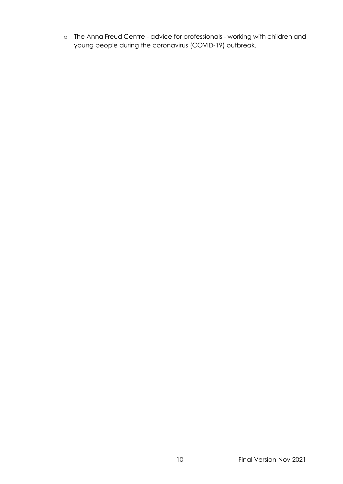o The Anna Freud Centre - [advice for professionals](https://www.annafreud.org/coronavirus/) - working with children and young people during the coronavirus (COVID-19) outbreak.